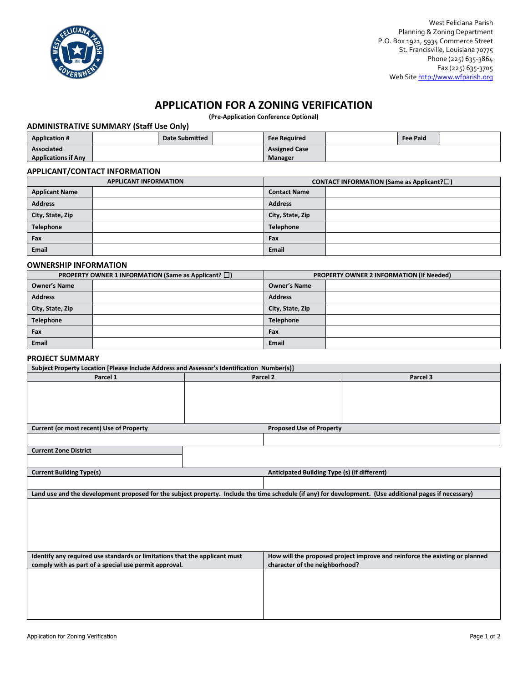

# **APPLICATION FOR A ZONING VERIFICATION**

**(Pre-Application Conference Optional)**

## **ADMINISTRATIVE SUMMARY (Staff Use Only)**

| <b>Application #</b>       | Date Submitted | <b>Fee Required</b>  | <b>Fee Paid</b> |  |
|----------------------------|----------------|----------------------|-----------------|--|
| Associated                 |                | <b>Assigned Case</b> |                 |  |
| <b>Applications if Any</b> |                | Manager              |                 |  |

### **APPLICANT/CONTACT INFORMATION**

| <b>APPLICANT INFORMATION</b> |  | <b>CONTACT INFORMATION (Same as Applicant?<math>\square</math>)</b> |  |  |
|------------------------------|--|---------------------------------------------------------------------|--|--|
| <b>Applicant Name</b>        |  | <b>Contact Name</b>                                                 |  |  |
| <b>Address</b>               |  | <b>Address</b>                                                      |  |  |
| City, State, Zip             |  | City, State, Zip                                                    |  |  |
| Telephone                    |  | <b>Telephone</b>                                                    |  |  |
| Fax                          |  | Fax                                                                 |  |  |
| Email                        |  | <b>Email</b>                                                        |  |  |

#### **OWNERSHIP INFORMATION**

| PROPERTY OWNER 1 INFORMATION (Same as Applicant? $\square$ ) |  | PROPERTY OWNER 2 INFORMATION (If Needed) |  |  |
|--------------------------------------------------------------|--|------------------------------------------|--|--|
| <b>Owner's Name</b>                                          |  | <b>Owner's Name</b>                      |  |  |
| <b>Address</b>                                               |  | <b>Address</b>                           |  |  |
| City, State, Zip                                             |  | City, State, Zip                         |  |  |
| <b>Telephone</b>                                             |  | <b>Telephone</b>                         |  |  |
| Fax                                                          |  | Fax                                      |  |  |
| Email                                                        |  | <b>Email</b>                             |  |  |

#### **PROJECT SUMMARY**

| Subject Property Location [Please Include Address and Assessor's Identification Number(s)]                                                              |  |                                              |                                                                             |  |  |  |
|---------------------------------------------------------------------------------------------------------------------------------------------------------|--|----------------------------------------------|-----------------------------------------------------------------------------|--|--|--|
| Parcel 1                                                                                                                                                |  | Parcel 2                                     | Parcel 3                                                                    |  |  |  |
|                                                                                                                                                         |  |                                              |                                                                             |  |  |  |
|                                                                                                                                                         |  |                                              |                                                                             |  |  |  |
|                                                                                                                                                         |  |                                              |                                                                             |  |  |  |
|                                                                                                                                                         |  |                                              |                                                                             |  |  |  |
| Current (or most recent) Use of Property                                                                                                                |  | <b>Proposed Use of Property</b>              |                                                                             |  |  |  |
|                                                                                                                                                         |  |                                              |                                                                             |  |  |  |
|                                                                                                                                                         |  |                                              |                                                                             |  |  |  |
| <b>Current Zone District</b>                                                                                                                            |  |                                              |                                                                             |  |  |  |
|                                                                                                                                                         |  |                                              |                                                                             |  |  |  |
| <b>Current Building Type(s)</b>                                                                                                                         |  | Anticipated Building Type (s) (if different) |                                                                             |  |  |  |
|                                                                                                                                                         |  |                                              |                                                                             |  |  |  |
| Land use and the development proposed for the subject property. Include the time schedule (if any) for development. (Use additional pages if necessary) |  |                                              |                                                                             |  |  |  |
|                                                                                                                                                         |  |                                              |                                                                             |  |  |  |
|                                                                                                                                                         |  |                                              |                                                                             |  |  |  |
|                                                                                                                                                         |  |                                              |                                                                             |  |  |  |
|                                                                                                                                                         |  |                                              |                                                                             |  |  |  |
|                                                                                                                                                         |  |                                              |                                                                             |  |  |  |
|                                                                                                                                                         |  |                                              |                                                                             |  |  |  |
| Identify any required use standards or limitations that the applicant must                                                                              |  |                                              | How will the proposed project improve and reinforce the existing or planned |  |  |  |
| comply with as part of a special use permit approval.                                                                                                   |  | character of the neighborhood?               |                                                                             |  |  |  |
|                                                                                                                                                         |  |                                              |                                                                             |  |  |  |
|                                                                                                                                                         |  |                                              |                                                                             |  |  |  |
|                                                                                                                                                         |  |                                              |                                                                             |  |  |  |
|                                                                                                                                                         |  |                                              |                                                                             |  |  |  |
|                                                                                                                                                         |  |                                              |                                                                             |  |  |  |